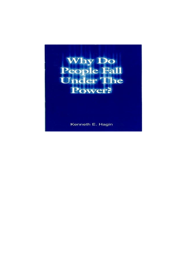# Why Do<br>People Fall **Under The** Power?

Kenneth E. Hagin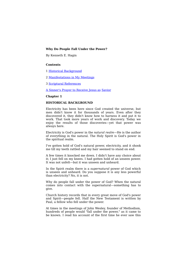### **Why Do People Fall Under the Power?**

By Kenneth E. Hagin

# **Contents**

- 1 Historical Background
- 2 Manifestations in My Meetings
- 3 Scriptural References

#### A Sinner's Prayer to Receive Jesus as Savior

#### **Chapter 1**

# **HISTORICAL BACKGROUND**

Electricity has been here since God created the universe, but men didn't know it for thousands of years. Even after they discovered it, they didn't know how to harness it and put it to work. That took more years of work and discovery. Today we enjoy the results of those discoveries—yet that power was always here.

Electricity is God's power in the *natural realm*—He is the author of everything in the natural. The Holy Spirit is God's power in the spiritual realm.

I've gotten hold of God's natural power, electricity, and it shook me till my teeth rattled and my hair seemed to stand on end.

A few times it knocked me down. I didn't have any choice about it; I just fell on my knees. I had gotten hold of an unseen power. It was not unfelt—but it was unseen and unheard.

In the Spirit realm there is a *supernatural* power of God which is unseen and unheard. Do you suppose it is any less powerful than electricity? No, it is not.

Why do people fall under the power of God? When the natural comes into contact with the supernatural—something has to give.

Church history records that in every great move of God's power and Spirit—people fell. Half the New Testament is written by Paul, a fellow who fell under the power.

At times in the meetings of John Wesley, founder of Methodism, hundreds of people would "fall under the power," as it came to be known. I read his account of the first time he ever saw this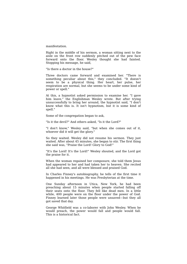manifestation.

Right in the middle of his sermon, a woman sitting next to the aisle on the front row suddenly pitched out of the pew face forward onto the floor. Wesley thought she had fainted. Stopping his message, he said,

"Is there a doctor in the house?"

Three doctors came forward and examined her. "There is something peculiar about this," they concluded. "It doesn't seem to be a physical thing. Her heart, her pulse, her respiration are normal, but she seems to be under some kind of power or spell."

At this, a hypnotist asked permission to examine her. "I gave him leave," the Englishman Wesley wrote. But after trying unsuccessfully to bring her around, the hypnotist said, "I don't know what this is. It isn't hypnotism, but it is some kind of spell."

Some of the congregation began to ask.

"Is it the devil?" And others asked, "Is it the Lord?"

"I don't know," Wesley said, "but when she comes out of it, whoever did it will get the glory."

So they waited. Wesley did not resume his sermon. They just waited. After about 45 minutes, she began to stir. The first thing she said was, "Praise the Lord! Glory to God!"

"It's the Lord! It's the Lord!" Wesley shouted, and the Lord got the praise for it.

When the woman regained her composure, she told them Jesus had appeared to her and had taken her to heaven. She recited all she had seen, and all were blessed and praised God.

In Charles Finney's autobiography, he tells of the first time it happened in his meetings. He was Presbyterian at the time.

One Sunday afternoon in Utica, New York, he had been preaching about 15 minutes when people started falling off their seats onto the floor. They fell like dead men. In a little while, 400 people were on the floor under the power of God. Finney learned later those people were unsaved—but they all got saved that day.

George Whitfield was a co-laborer with John Wesley. When he would preach, the power would fall and people would fall. This is a historical fact.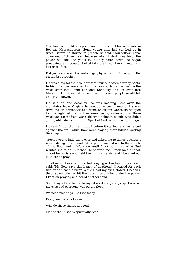One time Whitfield was preaching on the court house square in Boston, Massachusetts. Some young men had climbed up in trees. Before he started to preach, he said, "You fellows come down out of those trees, because when I start preaching, the power will fall and you'll fall." They came down, he began preaching, and people started falling all over the square. It's a historical fact.

Did you ever read the autobiography of Peter Cartwright, the Methodist preacher?

He was a big fellow, about six feet four, and wore cowboy boots. In his time they were settling the country from the East to the West over into Tennessee and Kentucky and on over into Missouri. He preached in campmeetings and people would fall under the power.

He said on one occasion, he was heading East over the mountains from Virginia to conduct a campmeeting. He was traveling on horseback and came to an inn where he stopped for the night. At the inn they were having a dance. Now, these Wesleyan Methodists were old-time holiness people who didn't go to public dances. But the Spirit of God told Cartwright to go.

He said, "I got there a little bit before it started, and just stood against the wall while they were playing their fiddles, getting timed up.

"Soon a young lady came over and asked me to dance because I was a stranger. So I said, 'Why, yes.' I walked out to the middle of the floor and didn't know until I got out there what God wanted me to do. But then He showed me. I took hold of each one of her wrists and held them in my hands, and I boomed out loud, 'Let's pray!'

"I fell on my knees and started praying at the top of my voice. I said, 'My God, save this bunch of heathens!' I prayed for each fiddler and each dancer. While I had my eyes closed, I heard a thud. Somebody had hit the floor; they'd fallen under the power. I kept on praying and heard another thud.

Soon they all started falling—just went slap, slap, slap. I opened my eyes and everyone was on the floor."

We need meetings like that today.

Everyone there got saved.

Why do those things happen?

Man without God is spiritually dead.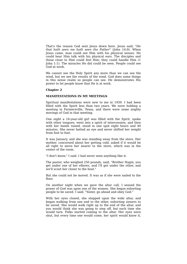That's the reason God sent Jesus down here. Jesus said, *"He that hath seen me hath seen the Father"* (John 14:9). When Jesus came, man could see Him with his physical senses. He could hear Him talk with his physical ears. The disciples and those close to Him could feel Him; they could handle Him (1 John 1:1). The miracles He did could be seen. People could see God at work.

We cannot see the Holy Spirit any more than we can see the wind, but we see the results of the wind. God does some things in this sense realm so people can see. He demonstrates His power to let people know that He is at work.

#### **Chapter 2**

#### **MANIFESTATIONS IN MY MEETINGS**

Spiritual manifestations were new to me in 1939. I had been filled with the Spirit less than two years. We were holding a meeting in Farmersville, Texas, and there were some mighty movings of God in that meeting.

One night a 16-year-old girl was filled with the Spirit, spoke with other tongues, went into a spirit of intercession, and then with her hands raised, stood in one spot eight hours and 40 minutes. She never batted an eye and never shifted her weight from foot to foot.

It was January, and she was standing away from the stove. Her mother, concerned about her getting cold, asked if it would be all right to move her nearer to the stove, which was in the center of the room.

"I don't know," I said. I had never seen anything like it.

The pastor, who weighed 250 pounds, said, "Brother Hagin, you get under one of her elbows, and I'll get under the other, and we'll scoot her closer to the heat."

But she could not be moved. It was as if she were nailed to the floor.

On another night when we gave the altar call, I sensed the power of God was upon one of the women. She began exhorting people to be saved. I said, "Sister, go ahead and obey God."

With her eyes closed, she stepped upon the wide altar, and began walking from one end to the other, exhorting sinners to be saved. She would walk right up to the end of the altar, and you would think she was going to step off, but each time she would turn. Folks started coming to the altar. Her eyes were shut, but every time one would come, her spirit would know it,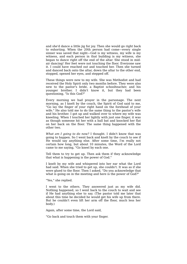and she'd dance a little jig for joy. Then she would go right back to exhorting. When the 20th person had come—every single sinner was saved that night—God is my witness, my wife is my witness, and each person in that building is my witness, she began to dance right off the end of the altar. She stood in midair dancing! Her feet were not touching the floor. Everyone saw it. I could have reached out and touched her. Then she turned and danced back onto the altar, down the altar to the other end, stopped, opened her eyes, and stepped off.

These things were new to my wife. She was Methodist and had received the Holy Spirit only two months before. They were also new to the pastor's bride, a Baptist schoolteacher, and his younger brother. I didn't know it, but they had been questioning, "Is this God?"

Every morning we had prayer in the parsonage. The next morning, as I knelt by the couch, the Spirit of God said to me, "Go lay the finger of your right hand on the forehead of your wife." He also told me to do the same thing to the pastor's wife and his brother. I got up and walked over to where my wife was kneeling. When I touched her lightly with just one finger, it was as though someone hit her with a ball bat and knocked her flat on her back on the floor. The same thing happened with the other two.

*What am I going to do now?* I thought. I didn't know that was going to happen. So I went back and knelt by the couch to see if He would say anything else. After some time, I'm really not certain how long, but about 10 minutes, the Word of the Lord came to me saying, "Go kneel by each one.

Tell them to try to get up. Then ask them if they acknowledge that what is happening is the power of God."

I knelt by my wife and whispered into her ear what the Lord had said. When she tried to get up, she couldn't. It was as if she were glued to the floor. Then I asked, "Do you acknowledge that what is going on in the meeting and here is the power of God?"

"Yes," she replied.

I went to the others. They answered just as my wife did. Nothing happened, so I went back to the couch to wait and see if He had anything else to say. (The pastor told me later that about this time he decided he would get his wife up from there. But he couldn't even lift her arm off the floor, much less her body.)

Again, after some time, the Lord said,

"Go back and touch them with your finger.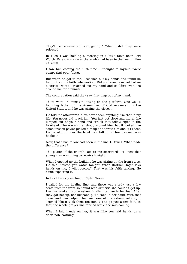They'll be released and can get up." When I did, they were released.

In 1950 I was holding a meeting in a little town near Fort Worth, Texas. A man was there who had been in the healing line 16 times.

I saw him coming the 17th time. I thought to myself, *There comes that poor fellow.*

But when he got to me, I reached out my hands and found he had gotten his faith into motion. Did you ever take hold of an electrical wire? I reached out my hand and couldn't even see around me for a minute.

The congregation said they saw fire jump out of my hand.

There were 14 ministers sitting on the platform. One was a founding father of the Assemblies of God movement in the United States, and he was sitting the closest.

He told me afterwards, "I've never seen anything like that in my life. You never did touch him. You just got close and literal fire jumped out of your hand and struck that fellow right in the forehead. There wasn't anybody around him, but it looked like some unseen power picked him up and threw him about 14 feet. He rolled up under the front pew talking in tongues and was healed."

Now, that same fellow had been in the line 16 times. What made the difference?

The pastor of the church said to me afterwards, "I knew that young man was going to receive tonight.

When I opened up the building he was sitting on the front steps. He said, 'Pastor, you watch tonight. When Brother Hagin lays hands on me, I will receive.'" That was his faith talking. He came expecting it.

In 1971 I was preaching in Tyler, Texas.

I called for the healing line, and there was a lady just a few seats from the front so bound with arthritis she couldn't get up. Her husband and some ushers finally lifted her to her feet. After they got her up, her husband put a cane in her hand. With that cane, and him helping her, and one of the ushers helping, it seemed like it took them ten minutes to go just a few feet. In fact, the whole prayer line formed while she was coming.

When I laid hands on her, it was like you laid hands on a doorknob. Nothing.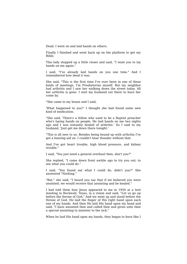Dead. I went on and laid hands on others.

Finally I finished and went back up on the platform to get my Bible.

This lady stepped up a little closer and said, "I want you to lay hands on me again."

I said, "I've already laid hands on you one time." And I remembered how dead it was.

She said, "This is the first time I've ever been in one of these kinds of meetings. I'm Presbyterian myself. But my neighbor had arthritis and I saw her walking down the street today. All her arthritis is gone. I sent my husband out there to have her come by.

"She came to my house and I said,

'What happened to you?' I thought she had found some new kind of medication.

"She said, 'There's a fellow who used to be a Baptist preacher who's laying hands on people. He laid hands on me two nights ago and I was instantly healed of arthritis.' So I said to my husband, 'Just get me down there tonight.'

"This is all new to us. Besides being bound up with arthritis I've got a hearing aid on. I couldn't hear thunder without that.

And I've got heart trouble, high blood pressure, and kidney trouble."

I said, "You just need a general overhaul then, don't you?"

She replied, "I came down front awhile ago to try you out; to see what you could do."

I said, "You found out what I could do, didn't you?" She answered "Nothing."

"But," she said, "I heard you say that if we believed you were anointed, we would receive that anointing and be healed."

I had told them how Jesus appeared to me in 1950 at a tent meeting in Rockwall, Texas, in a vision and said, "Let us go up before the throne of God." And we went up and stood before the throne of God. He laid the finger of His right hand upon each one of my hands. And then He laid His hand upon my head and said, "I have anointed thee and called thee and given unto thee a special anointing to minister to the sick."

When he laid His hand upon my hands, they began to burn like I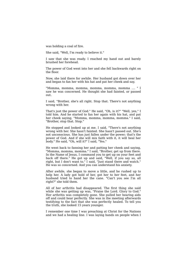was holding a coal of fire.

She said, "Well, I'm ready to believe it."

I saw that she was ready. I reached my hand out and barely brushed her forehead.

The power of God went into her and she fell backwards right on the floor.

Now, she laid there for awhile. Her husband got down over her and began to fan her with his hat and pat her cheek and say,

"Momma, momma, momma, momma, momma, momma .... " I saw he was concerned. He thought she had fainted, or passed out.

I said, "Brother, she's all right. Stop that. There's not anything wrong with her.

That's just the power of God." He said, "Oh, is it?" "Well, yes," I told him. And he started to fan her again with his hat, and pat her cheek saying, "Momma, momma, momma, momma." I said, "Brother, stop that. Stop."

He stopped and looked up at me. I said, "There's not anything wrong with her. She hasn't fainted. She hasn't passed out. She's not unconscious. She has just fallen under the power; that's the power of God. And if she will mix faith with it, it will heal her body." He said, "Oh, will it?" I said, "Yes."

He went back to fanning her and patting her cheek and saying, "Momma, momma, momma." I said, "Brother, get up from there. In the Name of Jesus, I command you to get up on your feet and back off there." He got up and said, "Well, if you say so, all right, but I don't want to." I said, "Just stand there and watch." He was so concerned. And you can understand his anxiety.

After awhile, she began to move a little, and he rushed up to help her. A lady got hold of her, got her to her feet, and her husband tried to hand her the cane. "Can't you see I'm all right?" she told them.

All of her arthritis had disappeared. The first thing she said while she was getting up was, "Praise the Lord. Glory to God." Her arthritis was completely gone. She pulled her hearing aids off and could hear perfectly. She was in the meeting afterwards testifying to the fact that she was perfectly healed. To tell you the truth, she looked 15 years younger.

I remember one time I was preaching at Christ for the Nations and we had a healing line. I was laying hands on people when I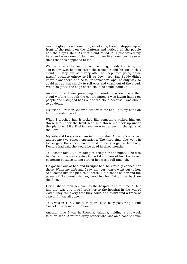saw the glory cloud coming in, enveloping them. I stepped up in front of the pulpit on the platform and noticed all the people had their eyes shut. As that cloud rolled in, I just waved my hand and every one of them went down like dominoes. Several times that has happened to me.

We had a time that night! For one thing, Buddy Harrison, my son-in-law, was helping catch these people and he got in that cloud. I'll step out of it very often to keep from going down myself, because otherwise I'll go down, too. But Buddy didn't know it was there, and he fell in someone's lap! The only way he could get up was simply to roll over and crawl out of the cloud. When he got to the edge of the cloud he could stand up.

Another time I was preaching at Pasadena when I saw that cloud wafting through the congregation. I was laying hands on people and I stepped back out of the cloud because I was about to go down.

My friend, Brother Goodwin, was with me and I put my hand on him to steady myself.

When I touched him it looked like something picked him up, threw him under the front seat, and threw me back up under the platform. Like Ezekiel, we were experiencing the glory of the Lord.

My wife and I were in a meeting in Houston. A pastor's wife had undergone two cancer operations. The third time she went in for surgery the cancer had spread to every organ in her body. Doctors had said she would be dead in three months.

The pastor told us, "I'm going to bring her one night." She was bedfast and he was staying home taking care of her. He wasn't pastoring because taking care of her was a full-time job.

He got her out of bed and brought her; he virtually carried her there. When my wife and I saw her, our hearts went out to her. She looked like the picture of death. I laid hands on her and the power of God went into her, knocking her flat on her back on the floor.

Her husband took her back to the hospital and told me, "I felt like that was one time I took her to the hospital in the will of God." They ran every test they could and didn't find a trace of cancer. It was all gone.

That was in 1971. Today they are both busy pastoring a Full Gospel church in South Texas.

Another time I was in Phoenix, Arizona, holding a one-week faith crusade. A retired army officer who was an alcoholic came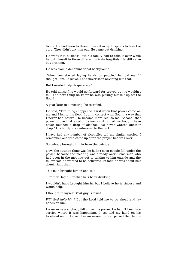to me. He had been to three different army hospitals to take the cure. They didn't dry him out. He came out drinking.

He went into business, but his family had to take it over while he put himself in three different private hospitals. He still came out drinking.

He was from a denominational background.

"When you started laying hands on people," he told me, "I thought I would leave. I had never seen anything like that.

But I needed help desperately."

He told himself he would go forward for prayer, but he wouldn't fall. The next thing he knew he was picking himself up off the floor!

A year later in a meeting, he testified.

He said, "Two things happened. First when that power came on me and I fell to the floor, I got in contact with God in a way that I never had before. He became more real to me. Second, that power drove that alcohol demon right out of my body. I have never touched a drop of alcohol; I've never wanted another drop." His family also witnessed to the fact.

I have had any number of alcoholics tell me similar stories. I remember one who came up after the prayer line was over.

Somebody brought him in from the outside.

Now, the strange thing was he hadn't seen people fall under the power, because the meeting was already over. Some man who had been in the meeting got to talking to him outside and the fellow said he wanted to be delivered. In fact, he was about half drunk right then.

This man brought him in and said,

"Brother Hagin, I realize he's been drinking.

I wouldn't have brought him in, but I believe he is sincere and wants help."

I thought to myself, *That guy is drunk.*

*Will God help him?* But the Lord told me to go ahead and lay hands on him.

He never saw anybody fall under the power. He hadn't been in a service where it was happening. I just laid my hand on his forehead and it looked like an unseen power picked that fellow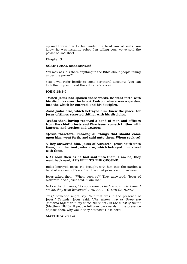up and threw him 12 feet under the front row of seats. You know, he was instantly sober. I'm telling you, we've sold the power of God short.

#### **Chapter 3**

# **SCRIPTURAL REFERENCES**

You may ask, "Is there anything in the Bible about people falling under the power?"

Yes! I will refer briefly to some scriptural accounts (you can look them up and read the entire reference).

### **JOHN 18:1-6**

**1When Jesus had spoken these words, he went forth with his disciples over the brook Cedron, where was a garden, into the which he entered, and his disciples.**

**2And Judas also, which betrayed him, knew the place: for Jesus ofttimes resorted thither with his disciples.**

**3Judas then, having received a band of men and officers from the chief priests and Pharisees, cometh thither with lanterns and torches and weapons.**

**4Jesus therefore, knowing all things that should come upon him, went forth, and said unto them, Whom seek ye?**

**5They answered him, Jesus of Nazareth. Jesus saith unto them, I am he. And Judas also, which betrayed him, stood with them.**

**6 As soon then as he had said unto them, I am he, they went backward, AM) FELL TO THE GROUND.**

Judas betrayed Jesus. He brought with him into the garden a band of men and officers from the chief priests and Pharisees.

Jesus asked them, "Whom seek ye?" They answered, "Jesus of Nazareth." And Jesus said, "I am He."

Notice the 6th verse, *"As soon then as he had said unto them, I am he, they went backward, AND FELL TO THE GROUND."*

"Yes," someone might say, "but that was in the presence of Jesus." Friends, Jesus said, *"For where two or three are gathered together in my name, there am I in the midst of them"* (Matthew 18:20). If people fell over backwards in the presence of Jesus then, why would they not now? He is here!

# **MATTHEW 28:1-4**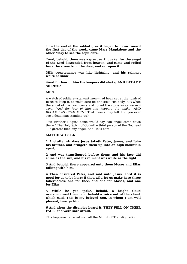**1 In the end of the sabbath, as it began to dawn toward the first day of the week, came Mary Magdalene and the other Mary to see the sepulchre.**

**2And, behold, there was a great earthquake: for the angel of the Lord descended from heaven, and came and rolled back the stone from the door, and sat upon it.**

**3His countenance was like lightning, and his raiment white as snow:**

**4And for fear of him the keepers did shake, AND BECAME AS DEAD**

**MEN.**

A watch of soldiers—stalwart men—had been set at the tomb of Jesus to keep it, to make sure no one stole His body. But when the angel of the Lord came and rolled the stone away, verse 4 says, *"And for fear of him the keepers did shake, AND BECAME AS DEAD MEN."* That means they fell. Did you ever see a dead man standing up?

"But Brother Hagin," some would say, "an angel came down there." The Holy Spirit of God—the third person of the Godhead —is greater than any angel. And He is here!

# **MATTHEW 17:1-6**

**1 And after six days Jesus taketh Peter, James, and John his brother, and bringeth them up into an high mountain apart,**

**2 And was transfigured before them: and his face did shine as the sun, and his raiment was white as the light.**

**3 And behold, there appeared unto them Moses and Elias talking with him.**

**4 Then answered Peter, and said unto Jesus, Lord it is good for us to be here: if thou wilt, let us make here three tabernacles; one for thee, and one for Moses, and one for Elias.**

**5 While he yet spake, behold, a bright cloud overshadowed them: and behold a voice out of the cloud, which said, This is my beloved Son, in whom I am well pleased; hear ye him.**

**6 And when the disciples heard it, THEY FELL ON THEIR FACE, and were sore afraid.**

This happened at what we call the Mount of Transfiguration. It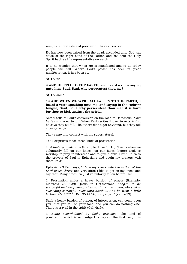was just a foretaste and preview of His resurrection.

He has now been raised from the dead, ascended unto God, sat down at the right hand of the Father, and has sent the Holy Spirit back as His representative on earth.

It is no wonder that when He is manifested among us today people will fall. Where God's power has been in great manifestation, it has been so.

#### **ACTS 9:4**

#### **4 AND HE FELL TO THE EARTH, and heard a voice saying unto him, Saul, Saul, why persecutest thou me?**

#### **ACTS 26:14**

**14 AND WHEN WE WERE ALL FALLEN TO THE EARTH, I heard a voice speaking unto me, and saying in the Hebrew tongue, Saul, Saul, why persecutest thou me? it is hard for thee to kick against the pricks.**

Acts 9 tells of Saul's conversion on the road to Damascus, *"And he fell to the earth ...."* When Paul recites it over in Acts 26:14, he says they all fell. The others didn't get anything, but they fell anyway. Why?

They came into contact with the supernatural.

The Scriptures teach three kinds of prostration.

1. *Voluntary prostration* (Example: Luke 17:16): This is when we voluntarily fall on our knees, on our faces, before God, to worship, to pray, to intercede and to give thanks. Often I turn to the prayers of Paul in Ephesians and begin my prayers with them. In 34

Ephesians 3 Paul says, *"I bow my knees unto the Father of the Lord Jesus Christ"* and very often I like to get on my knees and say that. Many times I've just voluntarily fallen before Him.

2. Prostration under a heavy burden of prayer (Example: Matthew 26:36-39): Jesus in Gethsemane, *"began to be sorrowful and very heavy. Then saith he unto them, My soul is exceeding sorrowful, even unto death ... And he went a little farther, AND FELL ON HIS FACE, and prayed"* (vv. 37-39).

Such a heavy burden of prayer, of intercession, can come upon you, that you fall on your face, and you can do nothing else. There is travail in the spirit (Gal. 4:19).

3. *Being overwhelmed by God's presence:* The kind of prostration which is our subject is beyond the first two; it is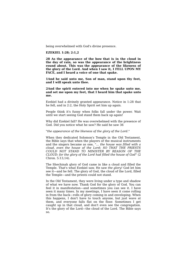being overwhelmed with God's divine presence.

### **EZEKIEL 1:28; 2:1,2**

**28 As the appearance of the bow that is in the cloud in the day of rain, so was the appearance of the brightness round about. This was the appearance of the likeness of the glory of the Lord. And when I saw it, I FELL UPON MY FACE, and I heard a voice of one that spake.**

**1And he said unto me, Son of man, stand upon thy feet, and I will speak unto thee.**

**2And the spirit entered into me when he spake unto me, and set me upon my feet, that I heard him that spake unto me.**

Ezekiel had a divinely granted appearance. Notice in 1:28 that he fell, and in 2:2, the Holy Spirit set him up again.

People think it's funny when folks fall under the power. Wait until we start seeing God stand them back up again!

Why did Ezekiel fall? He was overwhelmed with the presence of God. Did you notice what he saw? He said he saw 36

#### *"the appearance of the likeness of the glory of the Lord."*

When they dedicated Solomon's Temple in the Old Testament, the Bible says that when the players of the musical instruments and the singers became as one, *"... the house was filled with a cloud, even the house of the Lord; SO THAT THE PRIESTS COULD NOT STAND TO MINISTER BY REASON OF THE CLOUD: for the glory of the Lord had filled the house of God"* (2 Chron. 5:13,14).

The Shechinah glory of God came in like a cloud and filled the Temple. That's what Ezekiel saw. He saw *the glory!* God let him see it—and he fell. The glory of God, the cloud of the Lord, filled the Temple—and the priests could not stand.

In the Old Testament, they were living under a type and shadow of what we have now. Thank God for the glory of God. You can feel it in manifestation—and sometimes you can see it. I have seen it many times. In my meetings, I have seen it come rolling in from the back—rolls of glory coming in and enveloping. When this happens, I don't have to touch anyone, but just wave at them, and everyone falls flat on the floor. Sometimes I get caught up in that cloud, and don't even see the congregation. It's the glory of the Lord—the cloud of the Lord. The Bible says so.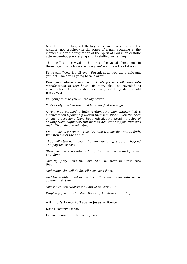Now let me prophesy a little to you. Let me give you a word of wisdom—not prophesy in the sense of a man speaking at the moment under the inspiration of the Spirit of God in an ecstatic utterance—but prophesying and foretelling something.

There will be a revival in this area of physical phenomena in these days in which we are living. We're in the edge of it now.

Some say, "Well, it's all over. You might as well dig a hole and get in it. The devil's going to take over."

Don't you believe a word of it. *God's power shall come into manifestation in this hour.* His glory shall be revealed as never before. And men shall see His glory! They shall behold His power!

*I'm going to take you on into My power.*

*You've only touched the outside realm; just the edge.*

*A few men stepped a little further, And momentarily had a manifestation Of divine power in their ministries. Even the dead on many occasions Have been raised, And great miracles of healing Have happened. But no man has ever stepped Into that realm To abide and minister.*

*I'm preparing a group in this day, Who without fear and in faith, Will step out of the natural.*

*They will step out Beyond human mentality; Step out beyond The physical senses;*

*Step over into the realm of faith; Step into the realm Of power and glory.*

*And My glory, Saith the Lord, Shall be made manifest Unto thee.*

*And many who will doubt, I'll even visit them.*

*And the visible cloud of the Lord Shall even come Into visible contact with them.*

*And they'll say, "Surely the Lord Is at work .... "*

*Prophecy given in Houston, Texas, by Dr. Kenneth E. Hagin*

# **A Sinner's Prayer to Receive Jesus as Savior**

Dear Heavenly Father,

I come to You in the Name of Jesus.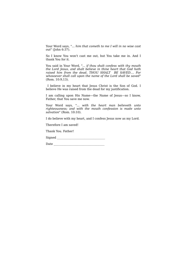Your Word says, *"... him that cometh to me I will in no wise cast out"* (John 6:37).

So I know You won't cast me out, but You take me in. And I thank You for it.

You said in Your Word, *"... if thou shalt confess with thy mouth the Lord Jesus, and shalt believe in thine heart that God hath raised him from the dead, THOU SHALT BE SAVED.... For whosoever shall call upon the name of the Lord shall be saved"* (Rom. 10:9,13).

I believe in my heart that Jesus Christ is the Son of God. I believe He was raised from the dead for my justification.

I am calling upon His Name—the Name of Jesus—so I know, Father, that You save me now.

Your Word says, *"... with the heart man believeth unto righteousness; and with the mouth confession is made unto salvation"* (Rom. 10:10).

I do believe with my heart, and I confess Jesus now as my Lord.

Therefore I am saved!

Thank You. Father!

Signed  $\Box$ 

 ${\rm Date}$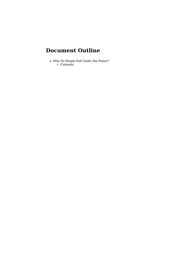# **Document Outline**

Why Do People Fall Under the Power? Contents